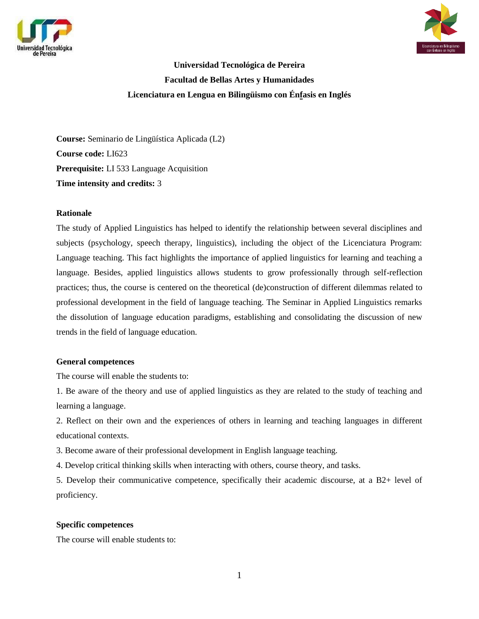



**Universidad Tecnológica de Pereira Facultad de Bellas Artes y Humanidades Licenciatura en Lengua en Bilingüismo con Énfasis en Inglés**

**Course:** Seminario de Lingüística Aplicada (L2) **Course code:** LI623 **Prerequisite:** LI 533 Language Acquisition **Time intensity and credits:** 3

#### **Rationale**

The study of Applied Linguistics has helped to identify the relationship between several disciplines and subjects (psychology, speech therapy, linguistics), including the object of the Licenciatura Program: Language teaching. This fact highlights the importance of applied linguistics for learning and teaching a language. Besides, applied linguistics allows students to grow professionally through self-reflection practices; thus, the course is centered on the theoretical (de)construction of different dilemmas related to professional development in the field of language teaching. The Seminar in Applied Linguistics remarks the dissolution of language education paradigms, establishing and consolidating the discussion of new trends in the field of language education.

#### **General competences**

The course will enable the students to:

1. Be aware of the theory and use of applied linguistics as they are related to the study of teaching and learning a language.

2. Reflect on their own and the experiences of others in learning and teaching languages in different educational contexts.

3. Become aware of their professional development in English language teaching.

4. Develop critical thinking skills when interacting with others, course theory, and tasks.

5. Develop their communicative competence, specifically their academic discourse, at a B2+ level of proficiency.

#### **Specific competences**

The course will enable students to: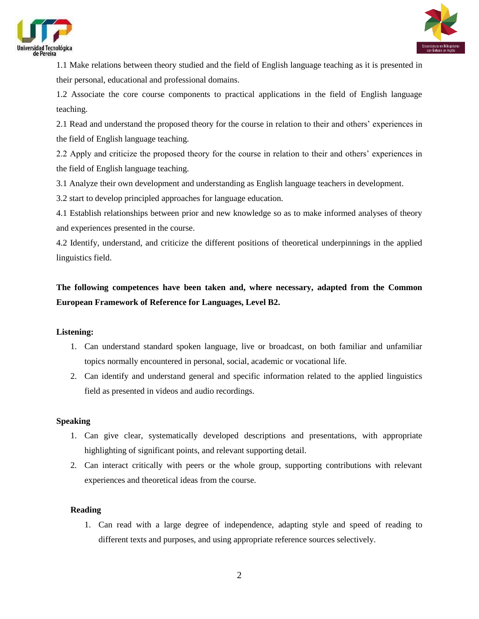



1.1 Make relations between theory studied and the field of English language teaching as it is presented in their personal, educational and professional domains.

1.2 Associate the core course components to practical applications in the field of English language teaching.

2.1 Read and understand the proposed theory for the course in relation to their and others' experiences in the field of English language teaching.

2.2 Apply and criticize the proposed theory for the course in relation to their and others' experiences in the field of English language teaching.

3.1 Analyze their own development and understanding as English language teachers in development.

3.2 start to develop principled approaches for language education.

4.1 Establish relationships between prior and new knowledge so as to make informed analyses of theory and experiences presented in the course.

4.2 Identify, understand, and criticize the different positions of theoretical underpinnings in the applied linguistics field.

# **The following competences have been taken and, where necessary, adapted from the Common European Framework of Reference for Languages, Level B2.**

## **Listening:**

- 1. Can understand standard spoken language, live or broadcast, on both familiar and unfamiliar topics normally encountered in personal, social, academic or vocational life.
- 2. Can identify and understand general and specific information related to the applied linguistics field as presented in videos and audio recordings.

## **Speaking**

- 1. Can give clear, systematically developed descriptions and presentations, with appropriate highlighting of significant points, and relevant supporting detail.
- 2. Can interact critically with peers or the whole group, supporting contributions with relevant experiences and theoretical ideas from the course.

## **Reading**

1. Can read with a large degree of independence, adapting style and speed of reading to different texts and purposes, and using appropriate reference sources selectively.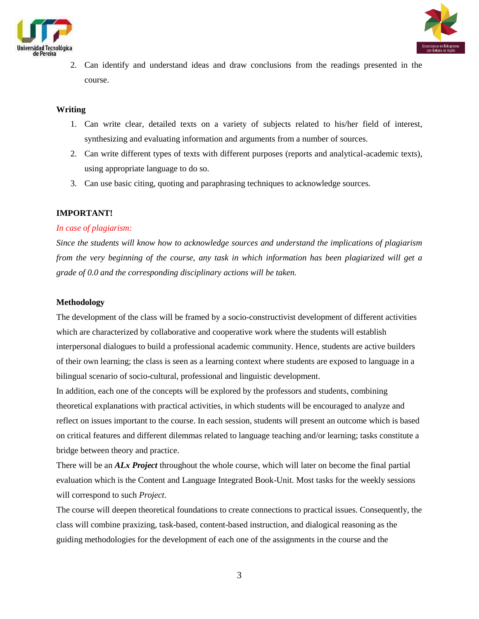



2. Can identify and understand ideas and draw conclusions from the readings presented in the course.

#### **Writing**

- 1. Can write clear, detailed texts on a variety of subjects related to his/her field of interest, synthesizing and evaluating information and arguments from a number of sources.
- 2. Can write different types of texts with different purposes (reports and analytical-academic texts), using appropriate language to do so.
- 3. Can use basic citing, quoting and paraphrasing techniques to acknowledge sources.

## **IMPORTANT!**

#### *In case of plagiarism:*

*Since the students will know how to acknowledge sources and understand the implications of plagiarism from the very beginning of the course, any task in which information has been plagiarized will get a grade of 0.0 and the corresponding disciplinary actions will be taken.*

#### **Methodology**

The development of the class will be framed by a socio-constructivist development of different activities which are characterized by collaborative and cooperative work where the students will establish interpersonal dialogues to build a professional academic community. Hence, students are active builders of their own learning; the class is seen as a learning context where students are exposed to language in a bilingual scenario of socio-cultural, professional and linguistic development.

In addition, each one of the concepts will be explored by the professors and students, combining theoretical explanations with practical activities, in which students will be encouraged to analyze and reflect on issues important to the course. In each session, students will present an outcome which is based on critical features and different dilemmas related to language teaching and/or learning; tasks constitute a bridge between theory and practice.

There will be an *ALx Project* throughout the whole course, which will later on become the final partial evaluation which is the Content and Language Integrated Book-Unit. Most tasks for the weekly sessions will correspond to such *Project*.

The course will deepen theoretical foundations to create connections to practical issues. Consequently, the class will combine praxizing, task-based, content-based instruction, and dialogical reasoning as the guiding methodologies for the development of each one of the assignments in the course and the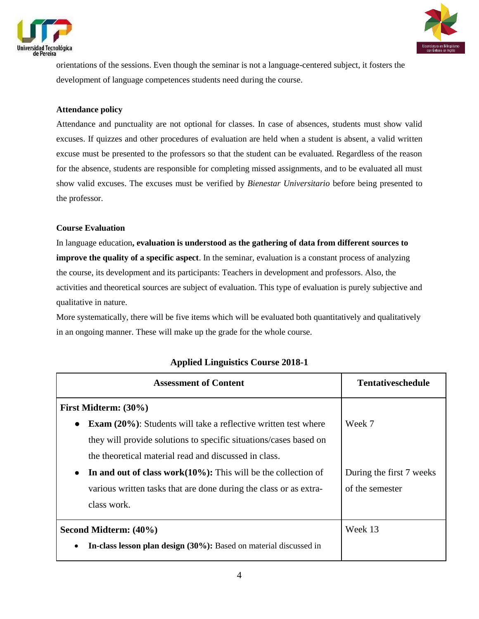



orientations of the sessions. Even though the seminar is not a language-centered subject, it fosters the development of language competences students need during the course.

### **Attendance policy**

Attendance and punctuality are not optional for classes. In case of absences, students must show valid excuses. If quizzes and other procedures of evaluation are held when a student is absent, a valid written excuse must be presented to the professors so that the student can be evaluated. Regardless of the reason for the absence, students are responsible for completing missed assignments, and to be evaluated all must show valid excuses. The excuses must be verified by *Bienestar Universitario* before being presented to the professor.

#### **Course Evaluation**

In language education**, evaluation is understood as the gathering of data from different sources to improve the quality of a specific aspect**. In the seminar, evaluation is a constant process of analyzing the course, its development and its participants: Teachers in development and professors. Also, the activities and theoretical sources are subject of evaluation. This type of evaluation is purely subjective and qualitative in nature.

More systematically, there will be five items which will be evaluated both quantitatively and qualitatively in an ongoing manner. These will make up the grade for the whole course.

| <b>Assessment of Content</b>                                          | <b>Tentativeschedule</b> |
|-----------------------------------------------------------------------|--------------------------|
| First Midterm: (30%)                                                  |                          |
| <b>Exam (20%):</b> Students will take a reflective written test where | Week 7                   |
| they will provide solutions to specific situations/cases based on     |                          |
| the theoretical material read and discussed in class.                 |                          |
| In and out of class work $(10\%)$ : This will be the collection of    | During the first 7 weeks |
| various written tasks that are done during the class or as extra-     | of the semester          |
| class work.                                                           |                          |
| Second Midterm: (40%)                                                 | Week 13                  |
| In-class lesson plan design (30%): Based on material discussed in     |                          |

## **Applied Linguistics Course 2018-1**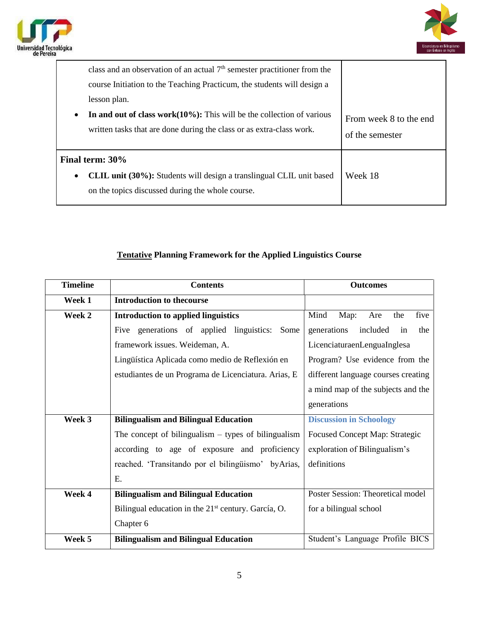



| class and an observation of an actual $7th$ semester practitioner from the<br>course Initiation to the Teaching Practicum, the students will design a<br>lesson plan.<br>In and out of class work $(10\%)$ : This will be the collection of various<br>$\bullet$<br>written tasks that are done during the class or as extra-class work. | From week 8 to the end<br>of the semester |
|------------------------------------------------------------------------------------------------------------------------------------------------------------------------------------------------------------------------------------------------------------------------------------------------------------------------------------------|-------------------------------------------|
| Final term: 30%<br><b>CLIL unit (30%):</b> Students will design a translingual CLIL unit based<br>$\bullet$<br>on the topics discussed during the whole course.                                                                                                                                                                          | Week 18                                   |

## **Tentative Planning Framework for the Applied Linguistics Course**

| <b>Timeline</b> | <b>Contents</b>                                                 | <b>Outcomes</b>                       |
|-----------------|-----------------------------------------------------------------|---------------------------------------|
| Week 1          | <b>Introduction to thecourse</b>                                |                                       |
| Week 2          | <b>Introduction to applied linguistics</b>                      | Mind<br>five<br>Map:<br>Are<br>the    |
|                 | Five generations of applied linguistics:<br>Some                | generations<br>included<br>in<br>the  |
|                 | framework issues. Weideman, A.                                  | LicenciaturaenLenguaInglesa           |
|                 | Lingüística Aplicada como medio de Reflexión en                 | Program? Use evidence from the        |
|                 | estudiantes de un Programa de Licenciatura. Arias, E            | different language courses creating   |
|                 |                                                                 | a mind map of the subjects and the    |
|                 |                                                                 | generations                           |
| Week 3          | <b>Bilingualism and Bilingual Education</b>                     | <b>Discussion in Schoology</b>        |
|                 | The concept of bilingualism $-$ types of bilingualism           | <b>Focused Concept Map: Strategic</b> |
|                 | according to age of exposure and proficiency                    | exploration of Bilingualism's         |
|                 | reached. 'Transitando por el bilingüismo' byArias,              | definitions                           |
|                 | Ε.                                                              |                                       |
| Week 4          | <b>Bilingualism and Bilingual Education</b>                     | Poster Session: Theoretical model     |
|                 | Bilingual education in the 21 <sup>st</sup> century. García, O. | for a bilingual school                |
|                 | Chapter 6                                                       |                                       |
| Week 5          | <b>Bilingualism and Bilingual Education</b>                     | Student's Language Profile BICS       |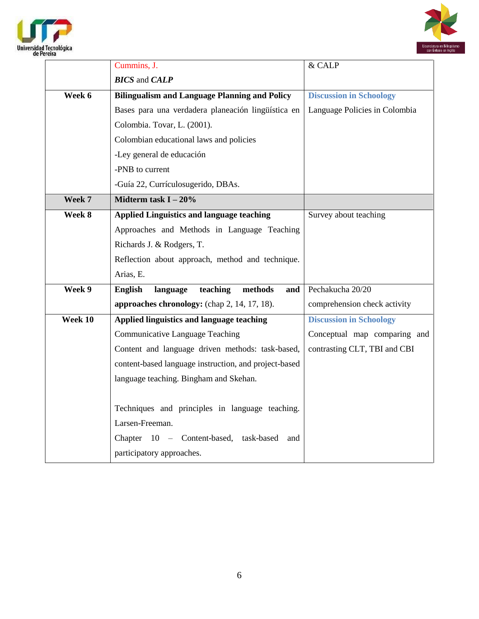



|         | Cummins, J.                                           | & CALP                         |
|---------|-------------------------------------------------------|--------------------------------|
|         | <b>BICS</b> and <b>CALP</b>                           |                                |
| Week 6  | <b>Bilingualism and Language Planning and Policy</b>  | <b>Discussion in Schoology</b> |
|         | Bases para una verdadera planeación lingüística en    | Language Policies in Colombia  |
|         | Colombia. Tovar, L. (2001).                           |                                |
|         | Colombian educational laws and policies               |                                |
|         | -Ley general de educación                             |                                |
|         | -PNB to current                                       |                                |
|         | -Guía 22, Currículosugerido, DBAs.                    |                                |
| Week 7  | Midterm task $I - 20\%$                               |                                |
| Week 8  | <b>Applied Linguistics and language teaching</b>      | Survey about teaching          |
|         | Approaches and Methods in Language Teaching           |                                |
|         | Richards J. & Rodgers, T.                             |                                |
|         | Reflection about approach, method and technique.      |                                |
|         | Arias, E.                                             |                                |
| Week 9  | methods<br>language teaching<br>and<br>English        | Pechakucha 20/20               |
|         | approaches chronology: (chap 2, 14, 17, 18).          | comprehension check activity   |
| Week 10 | Applied linguistics and language teaching             | <b>Discussion in Schoology</b> |
|         | <b>Communicative Language Teaching</b>                | Conceptual map comparing and   |
|         | Content and language driven methods: task-based,      | contrasting CLT, TBI and CBI   |
|         | content-based language instruction, and project-based |                                |
|         | language teaching. Bingham and Skehan.                |                                |
|         |                                                       |                                |
|         | Techniques and principles in language teaching.       |                                |
|         | Larsen-Freeman.                                       |                                |
|         | Chapter 10 - Content-based, task-based and            |                                |
|         | participatory approaches.                             |                                |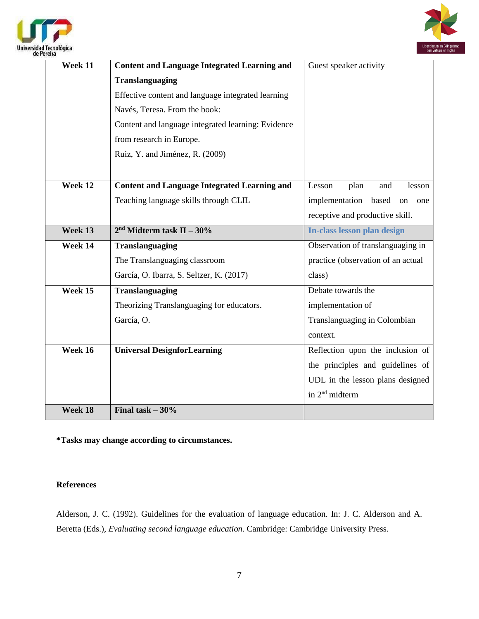



| Week 11                     | <b>Content and Language Integrated Learning and</b> | Guest speaker activity             |
|-----------------------------|-----------------------------------------------------|------------------------------------|
|                             | <b>Translanguaging</b>                              |                                    |
|                             | Effective content and language integrated learning  |                                    |
|                             | Navés, Teresa. From the book:                       |                                    |
|                             | Content and language integrated learning: Evidence  |                                    |
|                             | from research in Europe.                            |                                    |
|                             | Ruiz, Y. and Jiménez, R. (2009)                     |                                    |
|                             |                                                     |                                    |
| Week 12                     | <b>Content and Language Integrated Learning and</b> | Lesson<br>plan<br>and<br>lesson    |
|                             | Teaching language skills through CLIL               | implementation based<br>on<br>one  |
|                             |                                                     | receptive and productive skill.    |
| Week 13                     | $2nd Midterm task II - 30%$                         | In-class lesson plan design        |
| Week 14                     | Translanguaging                                     | Observation of translanguaging in  |
|                             | The Translanguaging classroom                       | practice (observation of an actual |
|                             | García, O. Ibarra, S. Seltzer, K. (2017)            | class)                             |
| $\overline{\text{Week}}$ 15 | Translanguaging                                     | Debate towards the                 |
|                             | Theorizing Translanguaging for educators.           | implementation of                  |
|                             | García, O.                                          | Translanguaging in Colombian       |
|                             |                                                     | context.                           |
| Week 16                     | <b>Universal DesignforLearning</b>                  | Reflection upon the inclusion of   |
|                             |                                                     | the principles and guidelines of   |
|                             |                                                     | UDL in the lesson plans designed   |
|                             |                                                     | in 2 <sup>nd</sup> midterm         |
| Week 18                     | Final task $-30%$                                   |                                    |

**\*Tasks may change according to circumstances.**

## **References**

Alderson, J. C. (1992). Guidelines for the evaluation of language education. In: J. C. Alderson and A. Beretta (Eds.), *Evaluating second language education*. Cambridge: Cambridge University Press.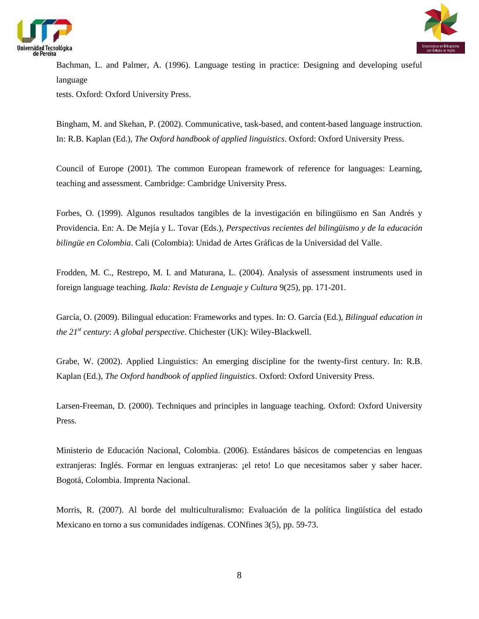



Bachman, L. and Palmer, A. (1996). Language testing in practice: Designing and developing useful language

tests. Oxford: Oxford University Press.

Bingham, M. and Skehan, P. (2002). Communicative, task-based, and content-based language instruction. In: R.B. Kaplan (Ed.), *The Oxford handbook of applied linguistics*. Oxford: Oxford University Press.

Council of Europe (2001). The common European framework of reference for languages: Learning, teaching and assessment. Cambridge: Cambridge University Press.

Forbes, O. (1999). Algunos resultados tangibles de la investigación en bilingüismo en San Andrés y Providencia. En: A. De Mejía y L. Tovar (Eds.), *Perspectivas recientes del bilingüismo y de la educación bilingüe en Colombia*. Cali (Colombia): Unidad de Artes Gráficas de la Universidad del Valle.

Frodden, M. C., Restrepo, M. I. and Maturana, L. (2004). Analysis of assessment instruments used in foreign language teaching. *Ikala: Revista de Lenguaje y Cultura* 9(25), pp. 171-201.

García, O. (2009). Bilingual education: Frameworks and types. In: O. García (Ed.), *Bilingual education in the 21st century*: *A global perspective*. Chichester (UK): Wiley-Blackwell.

Grabe, W. (2002). Applied Linguistics: An emerging discipline for the twenty-first century. In: R.B. Kaplan (Ed.), *The Oxford handbook of applied linguistics*. Oxford: Oxford University Press.

Larsen-Freeman, D. (2000). Techniques and principles in language teaching. Oxford: Oxford University Press.

Ministerio de Educación Nacional, Colombia. (2006). Estándares básicos de competencias en lenguas extranjeras: Inglés. Formar en lenguas extranjeras: ¡el reto! Lo que necesitamos saber y saber hacer. Bogotá, Colombia. Imprenta Nacional.

Morris, R. (2007). Al borde del multiculturalismo: Evaluación de la política lingüística del estado Mexicano en torno a sus comunidades indígenas. CONfines 3(5), pp. 59-73.